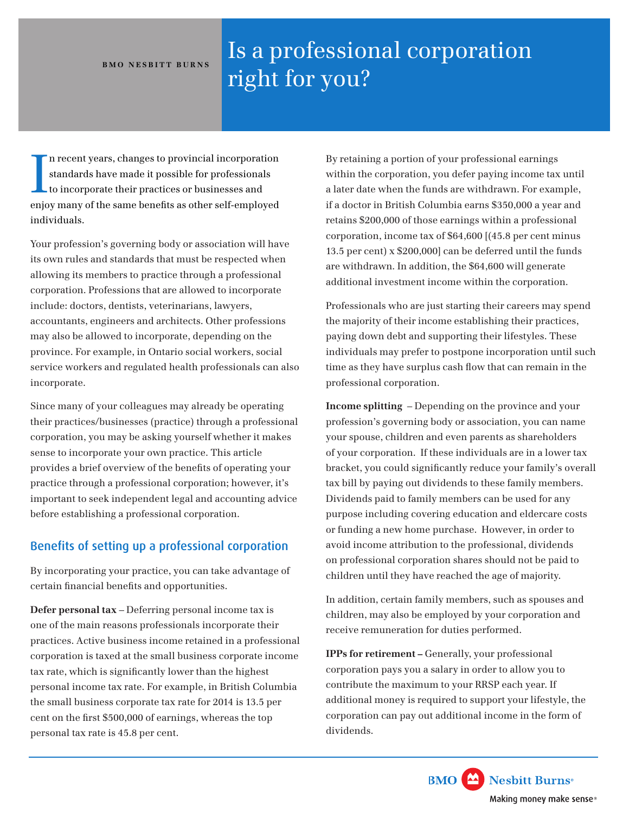## **BMO NESBITT BURNS**

## Is a professional corporation right for you?

I n recent years, changes to provincial incorporation standards have made it possible for professionals to incorporate their practices or businesses and enjoy many of the same benefits as other self-employed individuals.

Your profession's governing body or association will have its own rules and standards that must be respected when allowing its members to practice through a professional corporation. Professions that are allowed to incorporate include: doctors, dentists, veterinarians, lawyers, accountants, engineers and architects. Other professions may also be allowed to incorporate, depending on the province. For example, in Ontario social workers, social service workers and regulated health professionals can also incorporate.

Since many of your colleagues may already be operating their practices/businesses (practice) through a professional corporation, you may be asking yourself whether it makes sense to incorporate your own practice. This article provides a brief overview of the benefits of operating your practice through a professional corporation; however, it's important to seek independent legal and accounting advice before establishing a professional corporation.

## Benefits of setting up a professional corporation

By incorporating your practice, you can take advantage of certain financial benefits and opportunities.

**Defer personal tax** – Deferring personal income tax is one of the main reasons professionals incorporate their practices. Active business income retained in a professional corporation is taxed at the small business corporate income tax rate, which is significantly lower than the highest personal income tax rate. For example, in British Columbia the small business corporate tax rate for 2014 is 13.5 per cent on the first \$500,000 of earnings, whereas the top personal tax rate is 45.8 per cent.

By retaining a portion of your professional earnings within the corporation, you defer paying income tax until a later date when the funds are withdrawn. For example, if a doctor in British Columbia earns \$350,000 a year and retains \$200,000 of those earnings within a professional corporation, income tax of \$64,600 [(45.8 per cent minus 13.5 per cent) x \$200,000] can be deferred until the funds are withdrawn. In addition, the \$64,600 will generate additional investment income within the corporation.

Professionals who are just starting their careers may spend the majority of their income establishing their practices, paying down debt and supporting their lifestyles. These individuals may prefer to postpone incorporation until such time as they have surplus cash flow that can remain in the professional corporation.

**Income splitting** – Depending on the province and your profession's governing body or association, you can name your spouse, children and even parents as shareholders of your corporation. If these individuals are in a lower tax bracket, you could significantly reduce your family's overall tax bill by paying out dividends to these family members. Dividends paid to family members can be used for any purpose including covering education and eldercare costs or funding a new home purchase. However, in order to avoid income attribution to the professional, dividends on professional corporation shares should not be paid to children until they have reached the age of majority.

In addition, certain family members, such as spouses and children, may also be employed by your corporation and receive remuneration for duties performed.

**IPPs for retirement –** Generally, your professional corporation pays you a salary in order to allow you to contribute the maximum to your RRSP each year. If additional money is required to support your lifestyle, the corporation can pay out additional income in the form of dividends.

> **BMO** Nesbitt Burns<sup>®</sup> Making money make sense®